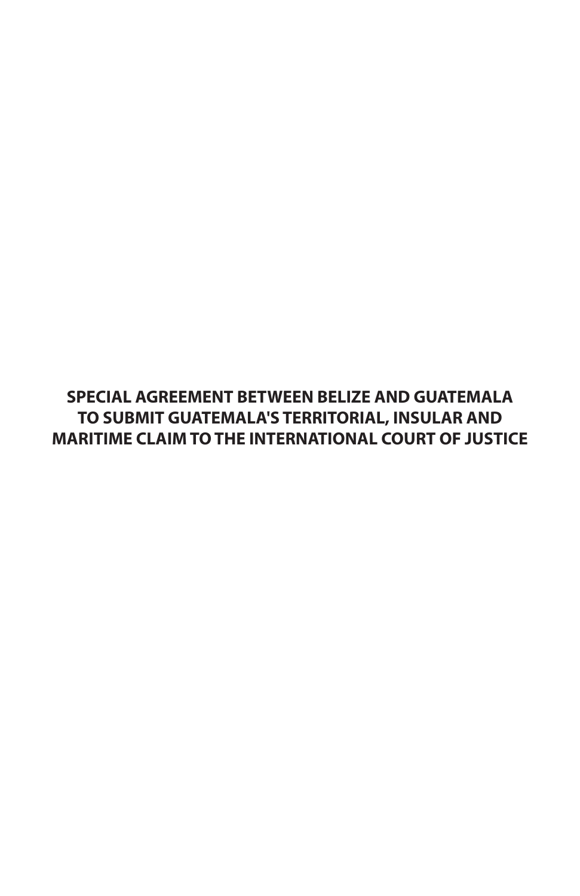**SPECIAL AGREEMENT BETWEEN BELIZE AND GUATEMALA TO SUBMIT GUATEMALA'S TERRITORIAL, INSULAR AND MARITIME CLAIM TO THE INTERNATIONAL COURT OF JUSTICE**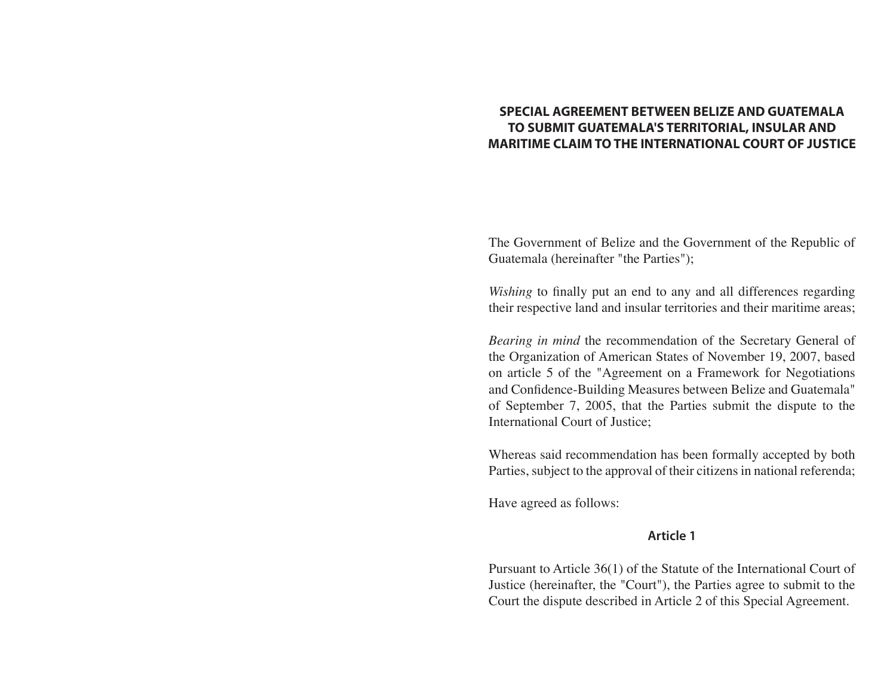# **SPECIAL AGREEMENT BETWEEN BELIZE AND GUATEMALA TO SUBMIT GUATEMALA'S TERRITORIAL, INSULAR AND MARITIME CLAIM TO THE INTERNATIONAL COURT OF JUSTICE**

The Government of Belize and the Government of the Republic of Guatemala (hereinafter "the Parties");

*Wishing* to finally put an end to any and all differences regarding their respective land and insular territories and their maritime areas;

*Bearing in mind* the recommendation of the Secretary General of the Organization of American States of November 19, 2007, based on article 5 of the "Agreement on a Framework for Negotiations and Confidence-Building Measures between Belize and Guatemala" of September 7, 2005, that the Parties submit the dispute to the International Court of Justice;

Whereas said recommendation has been formally accepted by both Parties, subject to the approval of their citizens in national referenda;

Have agreed as follows:

### **Article 1**

Pursuant to Article 36(1) of the Statute of the International Court of Justice (hereinafter, the "Court"), the Parties agree to submit to the Court the dispute described in Article 2 of this Special Agreement.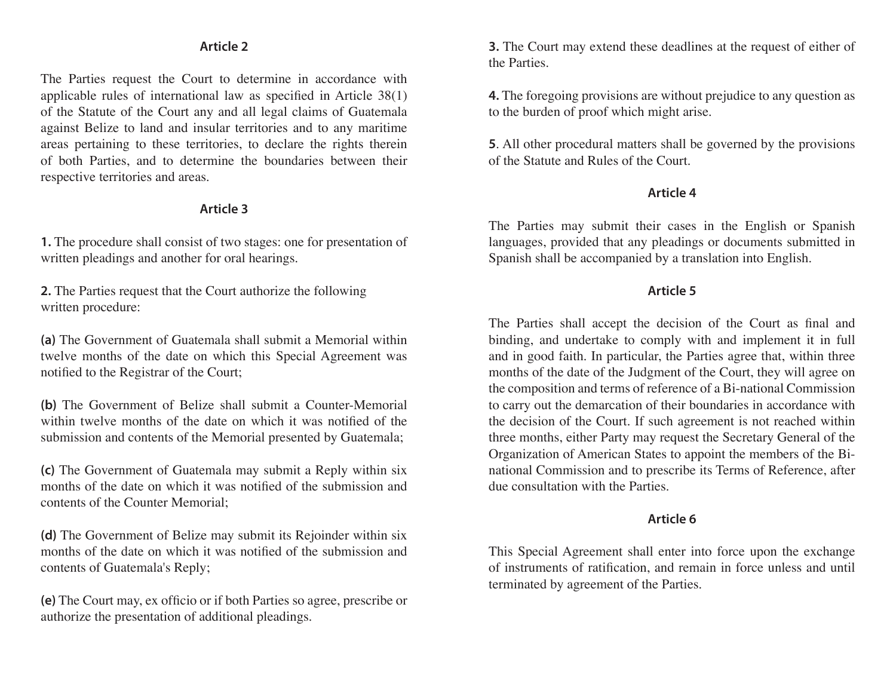## **Article 2**

The Parties request the Court to determine in accordance with applicable rules of international law as specified in Article 38(1) of the Statute of the Court any and all legal claims of Guatemala against Belize to land and insular territories and to any maritime areas pertaining to these territories, to declare the rights therein of both Parties, and to determine the boundaries between their respective territories and areas.

### **Article 3**

**1.** The procedure shall consist of two stages: one for presentation of written pleadings and another for oral hearings.

**2.** The Parties request that the Court authorize the following written procedure:

**(a)** The Government of Guatemala shall submit a Memorial within twelve months of the date on which this Special Agreement was notified to the Registrar of the Court;

**(b)** The Government of Belize shall submit a Counter-Memorial within twelve months of the date on which it was notified of the submission and contents of the Memorial presented by Guatemala;

**(c)** The Government of Guatemala may submit a Reply within six months of the date on which it was notified of the submission and contents of the Counter Memorial;

**(d)** The Government of Belize may submit its Rejoinder within six months of the date on which it was notified of the submission and contents of Guatemala's Reply;

**(e)** The Court may, ex officio or if both Parties so agree, prescribe or authorize the presentation of additional pleadings.

**3.** The Court may extend these deadlines at the request of either of the Parties.

**4.** The foregoing provisions are without prejudice to any question as to the burden of proof which might arise.

**5**. All other procedural matters shall be governed by the provisions of the Statute and Rules of the Court.

### **Article 4**

The Parties may submit their cases in the English or Spanish languages, provided that any pleadings or documents submitted in Spanish shall be accompanied by a translation into English.

## **Article 5**

The Parties shall accept the decision of the Court as final and binding, and undertake to comply with and implement it in full and in good faith. In particular, the Parties agree that, within three months of the date of the Judgment of the Court, they will agree on the composition and terms of reference of a Bi-national Commission to carry out the demarcation of their boundaries in accordance with the decision of the Court. If such agreement is not reached within three months, either Party may request the Secretary General of the Organization of American States to appoint the members of the Binational Commission and to prescribe its Terms of Reference, after due consultation with the Parties.

### **Article 6**

This Special Agreement shall enter into force upon the exchange of instruments of ratification, and remain in force unless and until terminated by agreement of the Parties.